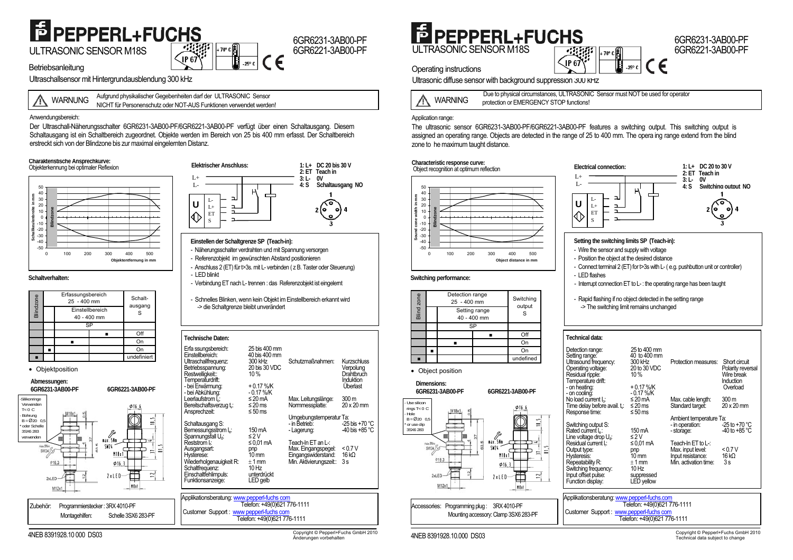## E PEPPERL+FUCHS

ULTRASONIC SENSOR M18S  $\Big|\left\langle \frac{G}{\mathbf{P} \cdot \mathbf{G}}\right\rangle\Big|^{1/9^\circ}$ 

6GR6231-3AB00-PF6GR6221-3AB00-PF  $-25^\circ$  C

**Betriebsanleitung** 

Ultraschallsensor mit Hintergrundausblendung 300 kHz

WARNUNGAufgrund physikalischer Gegebenheiten darf der ULTRASONIC Sensor NICHT für Personenschutz oder NOT-AUS Funktionen verwendet werden!

Anwendungsbereich:

Der Ultraschall-Näherungsschalter 6GR6231-3AB00-PF/6GR6221-3AB00-PF verfügt über einen Schaltausgang. Diesem Schaltausgang ist ein Schaltbereich zugeordnet. Objekte werden im Bereich von 25 bis 400 mm erfasst. Der Schaltbereich erstreckt sich von der Blindzone bis zur maximal eingelernten Distanz.

#### **Charakteristische Ansprechkurve:**  Objekterkennung bei optimaler Reflexion



#### **Schaltverhalten:**

| Blindzone |  | Erfassungsbereich<br>$25 - 400$ mm |    | Schalt-<br>ausgang |
|-----------|--|------------------------------------|----|--------------------|
|           |  | Einstellbereich<br>40 - 400 mm     |    | S                  |
|           |  |                                    | SP |                    |
|           |  |                                    |    | Off                |
|           |  |                                    |    |                    |
|           |  |                                    |    | On                 |
|           |  |                                    |    | undefiniert        |

• Objektposition





#### **Einstellen der Schaltgrenze SP (Teach-in):**

- Näherungsschalter verdrahten und mit Spannung versorgen
- Referenzobjekt im gewünschten Abstand positionieren
- Anschluss 2 (ET) für t>3s. mit L- verbinden ( z B. Taster oder Steuerung) - LED blinkt
- Verbindung ET nach L- trennen : das Referenzobjekt ist eingelernt
- Schnelles Blinken, wenn kein Objekt im Einstellbereich erkannt wird -> die Schaltgrenze bleibt unverändert

| <b>Technische Daten:</b>                                                                                                                                             |                                                                                                  |                                                                                             |                                                                               |  |  |  |
|----------------------------------------------------------------------------------------------------------------------------------------------------------------------|--------------------------------------------------------------------------------------------------|---------------------------------------------------------------------------------------------|-------------------------------------------------------------------------------|--|--|--|
| Erfa ssungsbereich:<br>Einstellbereich:<br>Ultraschallfrequenz:<br>Betriebsspannung:<br>Restwelligkeit::<br>Temperaturdrift:<br>- bei Erwärmung:<br>- bei Abkühlung: | 25 bis 400 mm<br>40 bis 400 mm<br>300 kHz<br>20 bis 30 VDC<br>10%<br>$+0.17$ %/K<br>$-0.17\%$ /K | Schutzmaßnahmen:                                                                            | <b>Kurzschluss</b><br>Verpolung<br>Drahtbruch<br><b>Induktion</b><br>Überlast |  |  |  |
| Leerlaufstrom I <sub>o</sub> :<br>Bereitschaftsverzug t <sub>v</sub> :<br>Ansprechzeit:                                                                              | $\leq$ 20 mA<br>$\leq 20$ ms<br>≤ 50 ms                                                          | Max. Leitungslänge:<br>Normmessplatte:                                                      | 300 <sub>m</sub><br>20 x 20 mm                                                |  |  |  |
| Schaltausgang S:<br>Bemessungsstrom I <sub>e</sub> :<br>Spannungsfall U <sub>d</sub> :                                                                               | 150 mA<br>$\leq$ 2 V                                                                             | Umgebungstemperatur Ta:<br>- in Betrieb:<br>- Lagerung:                                     | -25 bis +70 $^{\circ}$ C<br>-40 bis +85 $^{\circ}$ C                          |  |  |  |
| Reststrom I.:<br>Ausgangsart:<br>Hysterese:<br>Wiederholgenauigkeit R:<br>Schaltfrequenz:<br>Einschaltfehlimpuls:<br>Funktionsanzeige:                               | $\leq$ 0.01 mA<br>pnp<br>$10 \text{ mm}$<br>$+1$ mm<br>10 Hz<br>unterdrückt<br>LED gelb          | Teach-In ET an L-:<br>Max. Eingangspegel:<br>Eingangswiderstand:<br>Min. Aktivierungszeit:: | < 0.7 V<br>16k <sub>0</sub><br>3s                                             |  |  |  |
|                                                                                                                                                                      |                                                                                                  |                                                                                             |                                                                               |  |  |  |
| Applikationsberatung: www.pepperl-fuchs com<br>Telefon: +49(0)621 776-1111                                                                                           |                                                                                                  |                                                                                             |                                                                               |  |  |  |
| Customer Support: www.pepperl-fuchs.com                                                                                                                              |                                                                                                  |                                                                                             |                                                                               |  |  |  |
| Telefon: +49(0)621 776-1111                                                                                                                                          |                                                                                                  |                                                                                             |                                                                               |  |  |  |

## E PEPPERL+FUCHS ULTRASONIC SENSOR M18S

#### Operating instructions

Ultrasonic diffuse sensor with background suppression 300 kHz



Due to physical circumstances, ULTRASONIC Sensor must NOT be used for operator protection or EMERGENCY STOP functions!

 $\sqrt{\phantom{a}}$ IP 6

|+ 70° c||∃

( F

 $-25^\circ$  C

#### Application range:

The ultrasonic sensor 6GR6231-3AB00-PF/6GR6221-3AB00-PF features a switching output. This switching output is assigned an operating range. Objects are detected in the range of 25 to 400 mm. The opera ing range extend from the blind zone to he maximum taught distance.

#### **Characteristic response curve:**

■

Bland *Bland 25 - 400 mm*<br>
<u>Blund</u> *25 - 400 mm*<br>
Betting range<br>
40 - 400 mm

 $\blacksquare$  On  $\blacksquare$ 

SPSetting range

■

- Use silicon rings T< 0 C - Hole  $B = \emptyset$ 20 0,5 or use clip 3SX6 283

• Object position **Dimensions:** 6GR6231-3AR00-PF



Off

Switching output S

On

undefined

**6GR6231-3AB00-PF 6GR6221-3AB00-PF** 

 $\Phi$ 16

Œ

ma

 $\frac{1}{2}$ 

 $\overline{ }$ 

 $\mathbf{r}$ 

#### - Interrupt connection ET to L- : the operating range has been taught

- Rapid flashing if no object detected in the setting range

P

-> The switching limit remains unchanged

| Technical data: |
|-----------------|
|                 |

| Detection range:<br>Setting range:<br>Ultrasound frequency:<br>Operating voltage:<br>Residual ripple:<br>Temperature drift:<br>- on heating:<br>- on cooling:                                                                                                | 25 to 400 mm<br>40 to 400 mm<br>300 kHz<br>20 to 30 VDC<br>10%<br>$+0.17%$ K<br>- 0.17 %/K                                       | Protection measures:                                                                                                                                | Short circuit<br>Polarity reversal<br>Wire break<br>Induction<br>Overload |  |  |
|--------------------------------------------------------------------------------------------------------------------------------------------------------------------------------------------------------------------------------------------------------------|----------------------------------------------------------------------------------------------------------------------------------|-----------------------------------------------------------------------------------------------------------------------------------------------------|---------------------------------------------------------------------------|--|--|
| No load current $I_0$ :                                                                                                                                                                                                                                      | $\leq$ 20 mA                                                                                                                     | Max. cable length:                                                                                                                                  | 300 <sub>m</sub>                                                          |  |  |
| Time delay before avail. t <sub>v</sub> :                                                                                                                                                                                                                    | $\leq$ 20 ms                                                                                                                     | Standard target:                                                                                                                                    | 20 x 20 mm                                                                |  |  |
| Response time:<br>Switching output S:<br>Rated current I <sub>e</sub> :<br>Line voltage drop U <sub>d</sub> :<br>Residual current I.:<br>Output type:<br>Hysteresis:<br>Repeatability R:<br>Switching frequency:<br>Input offset pulse:<br>Function display: | ≤ 50 ms<br>150 mA<br>$\leq$ 2 V<br>≤ 0,01 mA<br>pnp<br>10 <sub>mm</sub><br>$+1$ mm<br>$10$ Hz<br>suppressed<br><b>LED</b> yellow | Ambient temperature Ta:<br>- in operation:<br>- storage:<br>Teach-In ET to $L$ :<br>Max. input level:<br>Input resistance:<br>Min. activation time: | $-25$ to $+70$ °C<br>$-40$ to +85 °C<br>< 0.7 V<br>16 $k\Omega$<br>3s     |  |  |
| Applikationsberatung: www.pepperl-fuchs.com                                                                                                                                                                                                                  |                                                                                                                                  |                                                                                                                                                     |                                                                           |  |  |
| Telefon: +49(0)621 776-1111<br>Customer Support: www.pepperl-fuchs com                                                                                                                                                                                       |                                                                                                                                  |                                                                                                                                                     |                                                                           |  |  |

Telefon: +49(0)621 776-1111

2xLED

 $M12x1$ 

Accessories: Programming plug : 3RX 4010-PF

Mounting accessory: Clamp 3SX6 283-PF

nax.SNn

N18x

 $\Phi$ 16

 $2x$ IFN

 $SW1$ 

 **1: L+ DC 20 to 30 V 2: ET Teach in 3: L- 0V** 

6GR6231-3AB00-PF6GR6221-3AB00-PF

**4: S Switching output NO**

4NEB 8391928.10 000 DS03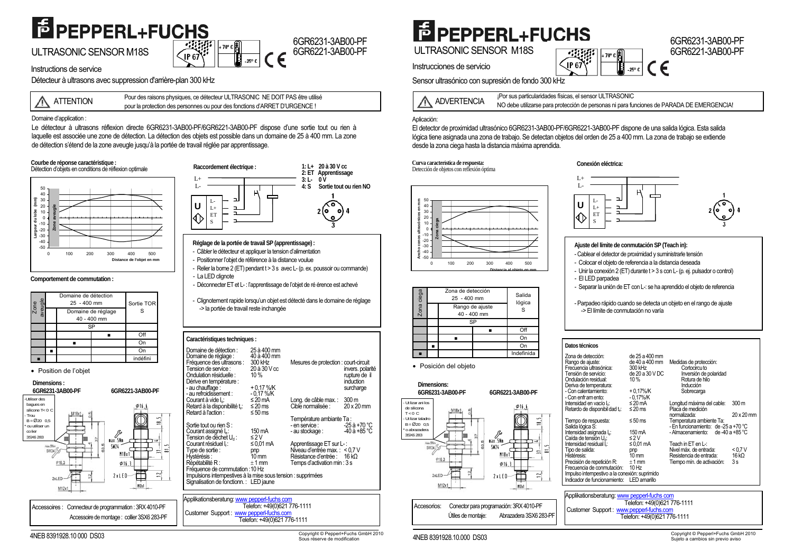## **E** PEPPERL+FUCHS

ULTRASONIC SENSOR M18S

#### 6GR6231-3AB00-PF $+$  70 $\degree$  C 6GR6221-3AB00-PFIP<sub>6</sub>  $-25^\circ$  C

Instructions de service

Détecteur à ultrasons avec suppression d'arrière-plan 300 kHz

Pour des raisons physiques, ce détecteur ULTRASONIC NE DOIT PAS être utilisé<br>pour la protection des personnes ou pour des fonctions d'ARRET D'URGENCE !

Domaine d'application :

Le détecteur à ultrasons réflexion directe 6GR6231-3AB00-PF/6GR6221-3AB00-PF dispose d'une sortie tout ou rien à laquelle est associée une zone de détection. La détection des objets est possible dans un domaine de 25 à 400 mm. La zone de détection s'étend de la zone aveugle jusqu'à la portée de travail réglée par apprentissage.

#### **Courbe de réponse caractéristique :**



#### **Comportement de commutation :**

| Zone<br>veugle |                                   | Domaine de détection<br>25 - 400 mm | Sortie TOR |          |
|----------------|-----------------------------------|-------------------------------------|------------|----------|
|                | Domaine de réglage<br>40 - 400 mm |                                     | S          |          |
|                |                                   |                                     | SP         |          |
|                |                                   |                                     |            | Off      |
|                |                                   |                                     |            | On       |
|                |                                   |                                     |            | Or       |
|                |                                   |                                     |            | indéfini |

#### • Position de l'objet



**Raccordement électrique : 1: L+ 20 à 30 V cc 2: ET Apprentissage**   $3: L L+$  **4: S Sortie tout ou rien NO** $L$  $\mathsf P$ L-**U** L+  $\hat{\Diamond}$ ET S

#### **Réglage de la portée de travail SP (apprentissage) :**

- Câbler le détecteur et appliquer la tension d'alimentation
- Positionner l'objet de référence à la distance voulue
- Relier la borne 2 (ET) pendant t > 3 s avec L- (p. ex. poussoir ou commande) - La LED clignote
- Déconnecter ET et L-: l'apprentissage de l'objet de ré érence est achevé
- Clignotement rapide lorsqu'un objet est détecté dans le domaine de réglage -> la portée de travail reste inchangée

#### **Caractéristiques techniques :**

| Domaine de détection :<br>Domaine de réglage :<br>Fréquence des ultrasons :<br>Tension de service :<br>Ondulation résiduelle :<br>Dérive en température :<br>- au chauffage:<br>- au refroidissement : | 25 à 400 mm<br>40 à 400 mm<br>300 kHz<br>20 à 30 V cc<br>10%<br>$+0.17%$ K<br>$-0.17\%$ /K | Mesures de protection : court-circuit                                                                                           | invers. polarité<br>rupture de il<br><i>induction</i><br>surcharge |  |  |
|--------------------------------------------------------------------------------------------------------------------------------------------------------------------------------------------------------|--------------------------------------------------------------------------------------------|---------------------------------------------------------------------------------------------------------------------------------|--------------------------------------------------------------------|--|--|
| Courant à vide l <sub>o</sub> :<br>Retard à la disponibilité t.:<br>Retard à l'action :                                                                                                                | $\leq$ 20 mA<br>≤ 20 ms<br>≤ 50 ms                                                         | Long. de câble max.: 300 m<br>Cible normalisée :                                                                                | $20 \times 20$ mm                                                  |  |  |
| Sortie tout ou rien S:<br>Courant assigné l.:<br>Tension de déchet U <sub>d</sub> :                                                                                                                    | 150 mA<br>$\leq$ 2 V                                                                       | Température ambiante Ta:<br>- en service :<br>- au stockage:                                                                    | -25 à +70 °C<br>$-40$ à +85 °C                                     |  |  |
| Courant résiduel I.:<br>Type de sortie :<br>Hystérésis :<br>Répétabilité R:                                                                                                                            | ≤ 0.01 mA<br>pnp<br>10 mm<br>$+1$ mm                                                       | Apprentissage ET sur L-:<br>Niveau d'entrée max.: < 0,7 V<br>Résistance d'entrée : $16 k\Omega$<br>Temps d'activation min : 3 s |                                                                    |  |  |
| Fréquence de commutation : 10 Hz<br>Impulsions intempestives à la mise sous tension : supprimées<br>Signalisation de fonctionn.: LED jaune                                                             |                                                                                            |                                                                                                                                 |                                                                    |  |  |
| Applikationsberatung: www pepperl-fuchs com<br>Telefon: +40(0)621 776-1111                                                                                                                             |                                                                                            |                                                                                                                                 |                                                                    |  |  |





### **E** PEPPERL+FUCHS ULTRASONIC SENSOR M18S

Instrucciones de servicio

 $+70°$ IP 67  $-25^\circ$  C

Sensor ultrasónico con supresión de fondo 300 kHz

ADVERTENCIA

¡Por sus particularidades físicas, el sensor ULTRASONIC NO debe utilizarse para protección de personas ni para funciones de PARADA DE EMERGENCIA!

#### Aplicación:

El detector de proximidad ultrasónico 6GR6231-3AB00-PF/6GR6221-3AB00-PF dispone de una salida lógica. Esta salida lógica tiene asignada una zona de trabajo. Se detectan objetos del orden de 25 a 400 mm. La zona de trabajo se extiende desde la zona ciega hasta la distancia máxima aprendida.

#### **Curva característica de respuesta:** Detección de objetos con reflexión óptima **Conexión eléctrica:**



| Zona ciega | Zona de defección<br>25 - 400 mm<br>Rango de ajuste<br>40 - 400 mm |  | Salida<br>lógica<br>S |
|------------|--------------------------------------------------------------------|--|-----------------------|
|            | SP                                                                 |  |                       |
|            |                                                                    |  | ∩ff                   |
|            |                                                                    |  | Or                    |
|            |                                                                    |  | Or                    |
|            |                                                                    |  | Indefinida            |

#### • Posición del objeto



 Accesorios: Conector para programación: 3RX 4010-PF Útiles de montaje: Abrazadera 3SX6 283-PF



#### **Ajuste del límite de conmutación SP (Teach in):**

- Cablear el detector de proximidad y suministrarle tensión
- Colocar el objeto de referencia a la distancia deseada
- Unir la conexión 2 (ET) durante t > 3 s con L- (p. ej. pulsador o control) - El LED parpadea
- Separar la unión de ET con L-: se ha aprendido el objeto de referencia
- Parpadeo rápido cuando se detecta un objeto en el rango de ajuste -> El límite de conmutación no varía

#### **Datos técnicos**

| Zona de detección:<br>Rango de ajuste:<br>Frecuencia ultrasónica:<br>Tensión de servicio:<br>Ondulación residual:<br>Deriva de temperatura:<br>- Con calentamiento:<br>- Con enfr am ento: | de 25 a 400 mm<br>de 40 a 400 mm<br>300 kHz<br>de 20 a 30 V DC<br>10%<br>$+0.17\%$ /K<br>$-0.17\%$ /K | Medidas de protección:<br>Cortocircu to<br>Inversión de polaridad<br>Rotura de hilo<br>Inducción<br>Sobrecarga |                  |
|--------------------------------------------------------------------------------------------------------------------------------------------------------------------------------------------|-------------------------------------------------------------------------------------------------------|----------------------------------------------------------------------------------------------------------------|------------------|
| Intensidad en vacío I.:                                                                                                                                                                    | ≤ 20 mA                                                                                               | Longitud máxima del cable:                                                                                     | 300 <sub>m</sub> |
| Retardo de disponibil dad t.:                                                                                                                                                              | ≤ 20 ms                                                                                               | Plaça de medición                                                                                              |                  |
| Tiempo de respuesta:                                                                                                                                                                       | ≤ 50 ms                                                                                               | normalizada:<br>Temperatura ambiente Ta:                                                                       | 20 x 20 mm       |
| Salida lógica S:                                                                                                                                                                           |                                                                                                       | - En funcionamiento: de -25 a +70 °C                                                                           |                  |
| Intensidad asignada I <sub>e</sub> :                                                                                                                                                       | 150 mA                                                                                                | - Almacenamiento:                                                                                              | de -40 a +85 °C  |
| Caída de tensión U <sub>n</sub> :                                                                                                                                                          | $\leq$ 2 V                                                                                            |                                                                                                                |                  |
| Intensidad residual I.:                                                                                                                                                                    | ≤0.01 mA                                                                                              | Teach in ET en $L$ :                                                                                           |                  |
| Tipo de salida:<br>Histéresis:                                                                                                                                                             | pnp<br>$10 \text{ mm}$                                                                                | Nivel máx. de entrada:<br>Resistencia de entrada:                                                              | < 0.7 V<br>16 kQ |
| Precisión de repetición R:                                                                                                                                                                 | $±1$ mm                                                                                               |                                                                                                                | 3s               |
| Frecuencia de conmutación: 10 Hz                                                                                                                                                           |                                                                                                       | Tiempo mín. de activación:                                                                                     |                  |
| Impulso intempestivo a la conexión: suprimido                                                                                                                                              |                                                                                                       |                                                                                                                |                  |
| Indicador de funcionamiento:                                                                                                                                                               | LED amarillo                                                                                          |                                                                                                                |                  |
|                                                                                                                                                                                            |                                                                                                       |                                                                                                                |                  |



4NEB 8391928.10 000 DS03

4NEB 8391928.10.000 DS03 Copyright © Pepperl+Fuchs GmbH 2010 Sous réserve de modification

### 6GR6231-3AB00-PF6GR6221-3AB00-PF